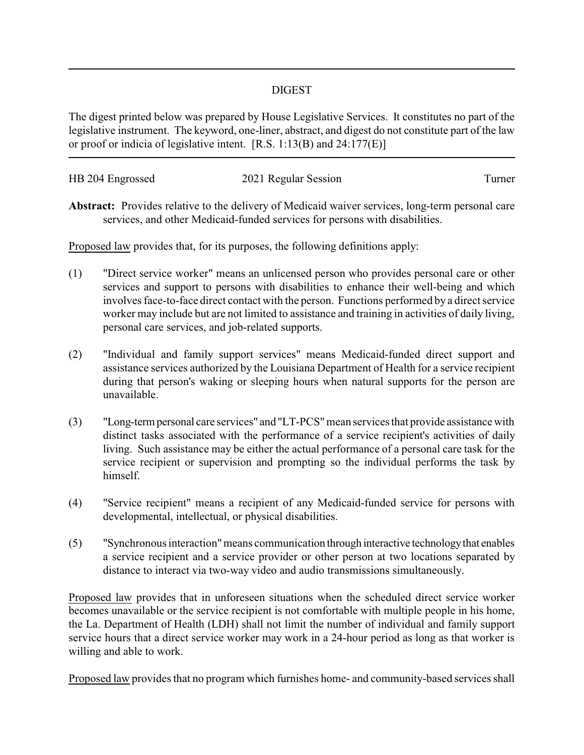## DIGEST

The digest printed below was prepared by House Legislative Services. It constitutes no part of the legislative instrument. The keyword, one-liner, abstract, and digest do not constitute part of the law or proof or indicia of legislative intent. [R.S. 1:13(B) and 24:177(E)]

| HB 204 Engrossed | 2021 Regular Session | l urner |
|------------------|----------------------|---------|
|                  |                      |         |

**Abstract:** Provides relative to the delivery of Medicaid waiver services, long-term personal care services, and other Medicaid-funded services for persons with disabilities.

Proposed law provides that, for its purposes, the following definitions apply:

- (1) "Direct service worker" means an unlicensed person who provides personal care or other services and support to persons with disabilities to enhance their well-being and which involves face-to-face direct contact with the person. Functions performed by a direct service worker may include but are not limited to assistance and training in activities of daily living, personal care services, and job-related supports.
- (2) "Individual and family support services" means Medicaid-funded direct support and assistance services authorized by the Louisiana Department of Health for a service recipient during that person's waking or sleeping hours when natural supports for the person are unavailable.
- (3) "Long-termpersonal care services" and "LT-PCS"mean services that provide assistance with distinct tasks associated with the performance of a service recipient's activities of daily living. Such assistance may be either the actual performance of a personal care task for the service recipient or supervision and prompting so the individual performs the task by himself.
- (4) "Service recipient" means a recipient of any Medicaid-funded service for persons with developmental, intellectual, or physical disabilities.
- (5) "Synchronous interaction"means communication through interactive technologythat enables a service recipient and a service provider or other person at two locations separated by distance to interact via two-way video and audio transmissions simultaneously.

Proposed law provides that in unforeseen situations when the scheduled direct service worker becomes unavailable or the service recipient is not comfortable with multiple people in his home, the La. Department of Health (LDH) shall not limit the number of individual and family support service hours that a direct service worker may work in a 24-hour period as long as that worker is willing and able to work.

Proposed law provides that no program which furnishes home- and community-based services shall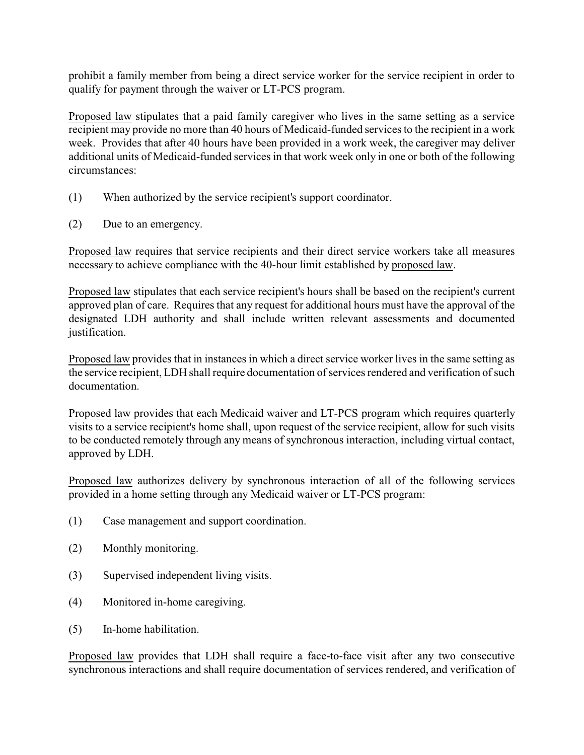prohibit a family member from being a direct service worker for the service recipient in order to qualify for payment through the waiver or LT-PCS program.

Proposed law stipulates that a paid family caregiver who lives in the same setting as a service recipient may provide no more than 40 hours of Medicaid-funded services to the recipient in a work week. Provides that after 40 hours have been provided in a work week, the caregiver may deliver additional units of Medicaid-funded services in that work week only in one or both of the following circumstances:

- (1) When authorized by the service recipient's support coordinator.
- (2) Due to an emergency.

Proposed law requires that service recipients and their direct service workers take all measures necessary to achieve compliance with the 40-hour limit established by proposed law.

Proposed law stipulates that each service recipient's hours shall be based on the recipient's current approved plan of care. Requires that any request for additional hours must have the approval of the designated LDH authority and shall include written relevant assessments and documented justification.

Proposed law provides that in instances in which a direct service worker lives in the same setting as the service recipient, LDH shall require documentation of services rendered and verification of such documentation.

Proposed law provides that each Medicaid waiver and LT-PCS program which requires quarterly visits to a service recipient's home shall, upon request of the service recipient, allow for such visits to be conducted remotely through any means of synchronous interaction, including virtual contact, approved by LDH.

Proposed law authorizes delivery by synchronous interaction of all of the following services provided in a home setting through any Medicaid waiver or LT-PCS program:

- (1) Case management and support coordination.
- (2) Monthly monitoring.
- (3) Supervised independent living visits.
- (4) Monitored in-home caregiving.
- (5) In-home habilitation.

Proposed law provides that LDH shall require a face-to-face visit after any two consecutive synchronous interactions and shall require documentation of services rendered, and verification of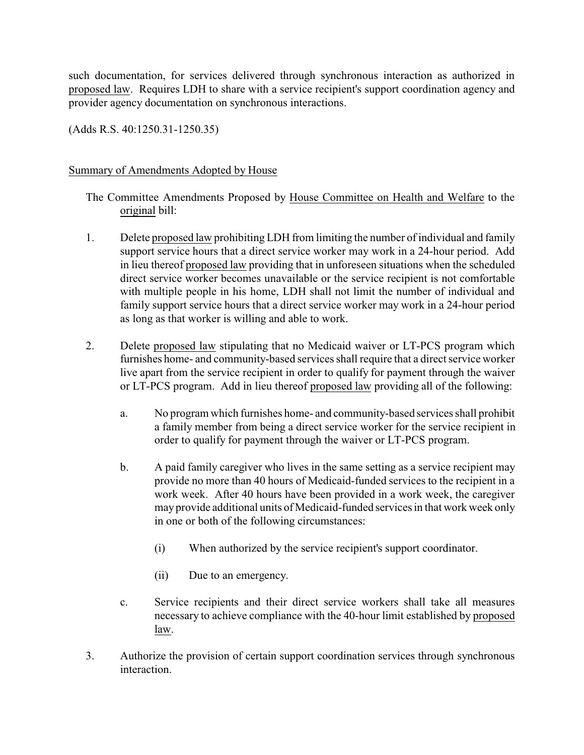such documentation, for services delivered through synchronous interaction as authorized in proposed law. Requires LDH to share with a service recipient's support coordination agency and provider agency documentation on synchronous interactions.

(Adds R.S. 40:1250.31-1250.35)

## Summary of Amendments Adopted by House

The Committee Amendments Proposed by House Committee on Health and Welfare to the original bill:

- 1. Delete proposed law prohibiting LDH from limiting the number of individual and family support service hours that a direct service worker may work in a 24-hour period. Add in lieu thereof proposed law providing that in unforeseen situations when the scheduled direct service worker becomes unavailable or the service recipient is not comfortable with multiple people in his home, LDH shall not limit the number of individual and family support service hours that a direct service worker may work in a 24-hour period as long as that worker is willing and able to work.
- 2. Delete proposed law stipulating that no Medicaid waiver or LT-PCS program which furnishes home- and community-based services shall require that a direct service worker live apart from the service recipient in order to qualify for payment through the waiver or LT-PCS program. Add in lieu thereof proposed law providing all of the following:
	- a. No program which furnishes home- and community-based services shall prohibit a family member from being a direct service worker for the service recipient in order to qualify for payment through the waiver or LT-PCS program.
	- b. A paid family caregiver who lives in the same setting as a service recipient may provide no more than 40 hours of Medicaid-funded services to the recipient in a work week. After 40 hours have been provided in a work week, the caregiver may provide additional units of Medicaid-funded services in that work week only in one or both of the following circumstances:
		- (i) When authorized by the service recipient's support coordinator.
		- (ii) Due to an emergency.
	- c. Service recipients and their direct service workers shall take all measures necessary to achieve compliance with the 40-hour limit established by proposed law.
- 3. Authorize the provision of certain support coordination services through synchronous interaction.